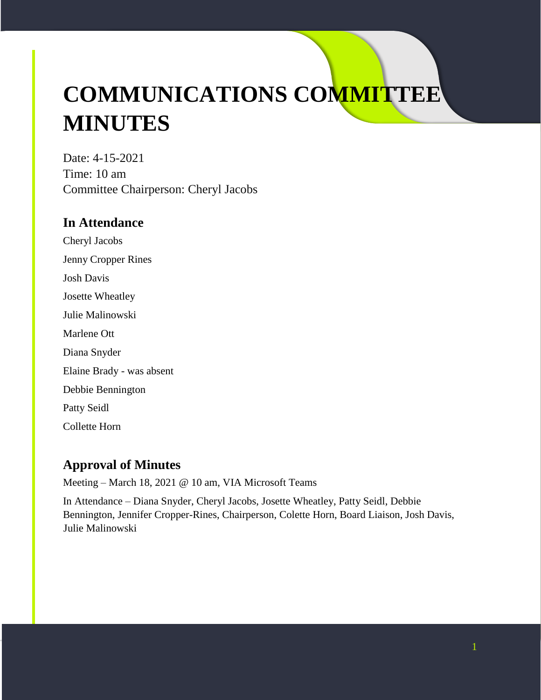# **COMMUNICATIONS COMMITTEE MINUTES**

Date: 4-15-2021 Time: 10 am Committee Chairperson: Cheryl Jacobs

## **In Attendance**

Cheryl Jacobs Jenny Cropper Rines Josh Davis Josette Wheatley Julie Malinowski Marlene Ott Diana Snyder Elaine Brady - was absent Debbie Bennington Patty Seidl Collette Horn

# **Approval of Minutes**

Meeting – March 18, 2021 @ 10 am, VIA Microsoft Teams

In Attendance – Diana Snyder, Cheryl Jacobs, Josette Wheatley, Patty Seidl, Debbie Bennington, Jennifer Cropper-Rines, Chairperson, Colette Horn, Board Liaison, Josh Davis, Julie Malinowski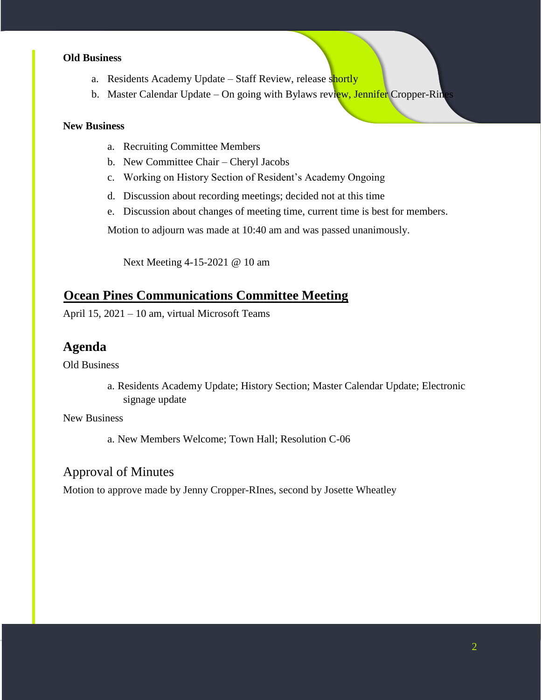#### **Old Business**

- a. Residents Academy Update Staff Review, release shortly
- b. Master Calendar Update On going with Bylaws review, Jennifer Cropper-Rines

#### **New Business**

- a. Recruiting Committee Members
- b. New Committee Chair Cheryl Jacobs
- c. Working on History Section of Resident's Academy Ongoing
- d. Discussion about recording meetings; decided not at this time
- e. Discussion about changes of meeting time, current time is best for members.

Motion to adjourn was made at 10:40 am and was passed unanimously.

Next Meeting 4-15-2021 @ 10 am

#### **Ocean Pines Communications Committee Meeting**

April 15, 2021 – 10 am, virtual Microsoft Teams

#### **Agenda**

Old Business

a. Residents Academy Update; History Section; Master Calendar Update; Electronic signage update

New Business

a. New Members Welcome; Town Hall; Resolution C-06

#### Approval of Minutes

Motion to approve made by Jenny Cropper-RInes, second by Josette Wheatley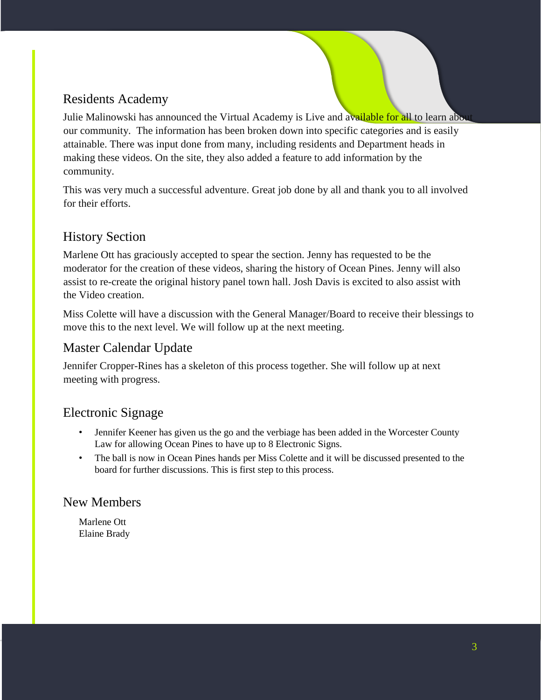## Residents Academy

Julie Malinowski has announced the Virtual Academy is Live and available for all to learn about our community. The information has been broken down into specific categories and is easily attainable. There was input done from many, including residents and Department heads in making these videos. On the site, they also added a feature to add information by the community.

This was very much a successful adventure. Great job done by all and thank you to all involved for their efforts.

#### History Section

Marlene Ott has graciously accepted to spear the section. Jenny has requested to be the moderator for the creation of these videos, sharing the history of Ocean Pines. Jenny will also assist to re-create the original history panel town hall. Josh Davis is excited to also assist with the Video creation.

Miss Colette will have a discussion with the General Manager/Board to receive their blessings to move this to the next level. We will follow up at the next meeting.

#### Master Calendar Update

Jennifer Cropper-Rines has a skeleton of this process together. She will follow up at next meeting with progress.

#### Electronic Signage

- Jennifer Keener has given us the go and the verbiage has been added in the Worcester County Law for allowing Ocean Pines to have up to 8 Electronic Signs.
- The ball is now in Ocean Pines hands per Miss Colette and it will be discussed presented to the board for further discussions. This is first step to this process.

#### New Members

Marlene Ott Elaine Brady